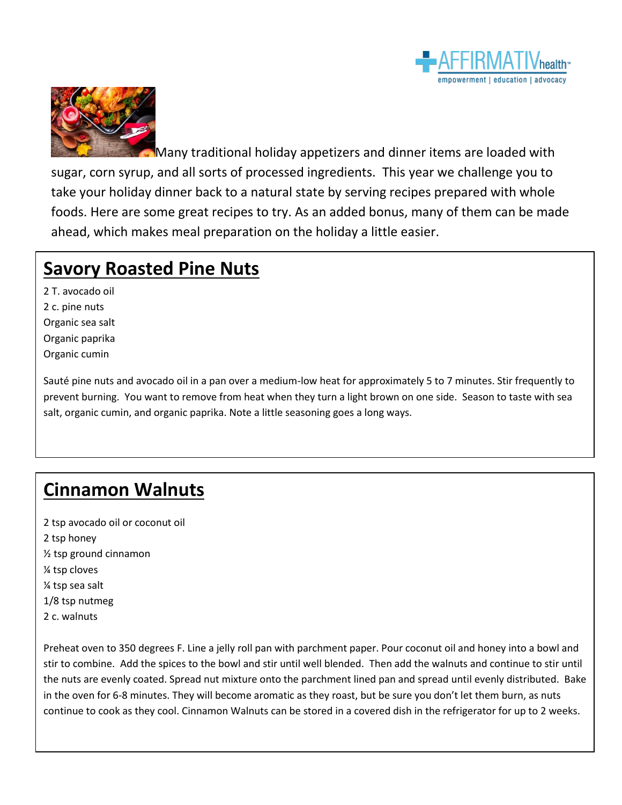



Many traditional holiday appetizers and dinner items are loaded with sugar, corn syrup, and all sorts of processed ingredients. This year we challenge you to take your holiday dinner back to a natural state by serving recipes prepared with whole foods. Here are some great recipes to try. As an added bonus, many of them can be made ahead, which makes meal preparation on the holiday a little easier.

### **Savory Roasted Pine Nuts**

2 T. avocado oil 2 c. pine nuts Organic sea salt Organic paprika Organic cumin

Sauté pine nuts and avocado oil in a pan over a medium-low heat for approximately 5 to 7 minutes. Stir frequently to prevent burning. You want to remove from heat when they turn a light brown on one side. Season to taste with sea salt, organic cumin, and organic paprika. Note a little seasoning goes a long ways.

# **Cinnamon Walnuts**

2 tsp avocado oil or coconut oil 2 tsp honey ½ tsp ground cinnamon ¼ tsp cloves ¼ tsp sea salt 1/8 tsp nutmeg 2 c. walnuts

Preheat oven to 350 degrees F. Line a jelly roll pan with parchment paper. Pour coconut oil and honey into a bowl and stir to combine. Add the spices to the bowl and stir until well blended. Then add the walnuts and continue to stir until the nuts are evenly coated. Spread nut mixture onto the parchment lined pan and spread until evenly distributed. Bake in the oven for 6-8 minutes. They will become aromatic as they roast, but be sure you don't let them burn, as nuts continue to cook as they cool. Cinnamon Walnuts can be stored in a covered dish in the refrigerator for up to 2 weeks.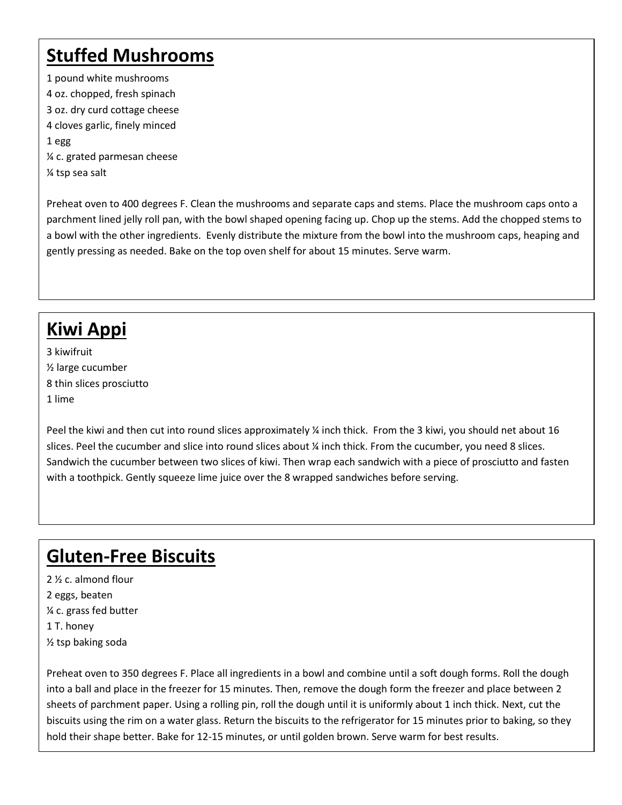# **Stuffed Mushrooms**

1 pound white mushrooms 4 oz. chopped, fresh spinach 3 oz. dry curd cottage cheese 4 cloves garlic, finely minced 1 egg ¼ c. grated parmesan cheese ¼ tsp sea salt

Preheat oven to 400 degrees F. Clean the mushrooms and separate caps and stems. Place the mushroom caps onto a parchment lined jelly roll pan, with the bowl shaped opening facing up. Chop up the stems. Add the chopped stems to a bowl with the other ingredients. Evenly distribute the mixture from the bowl into the mushroom caps, heaping and gently pressing as needed. Bake on the top oven shelf for about 15 minutes. Serve warm.

# **Kiwi Appi**

3 kiwifruit ½ large cucumber 8 thin slices prosciutto 1 lime

Peel the kiwi and then cut into round slices approximately ¼ inch thick. From the 3 kiwi, you should net about 16 slices. Peel the cucumber and slice into round slices about ¼ inch thick. From the cucumber, you need 8 slices. Sandwich the cucumber between two slices of kiwi. Then wrap each sandwich with a piece of prosciutto and fasten with a toothpick. Gently squeeze lime juice over the 8 wrapped sandwiches before serving.

# **Gluten-Free Biscuits**

2 ½ c. almond flour 2 eggs, beaten ¼ c. grass fed butter 1 T. honey ½ tsp baking soda

Preheat oven to 350 degrees F. Place all ingredients in a bowl and combine until a soft dough forms. Roll the dough into a ball and place in the freezer for 15 minutes. Then, remove the dough form the freezer and place between 2 sheets of parchment paper. Using a rolling pin, roll the dough until it is uniformly about 1 inch thick. Next, cut the biscuits using the rim on a water glass. Return the biscuits to the refrigerator for 15 minutes prior to baking, so they hold their shape better. Bake for 12-15 minutes, or until golden brown. Serve warm for best results.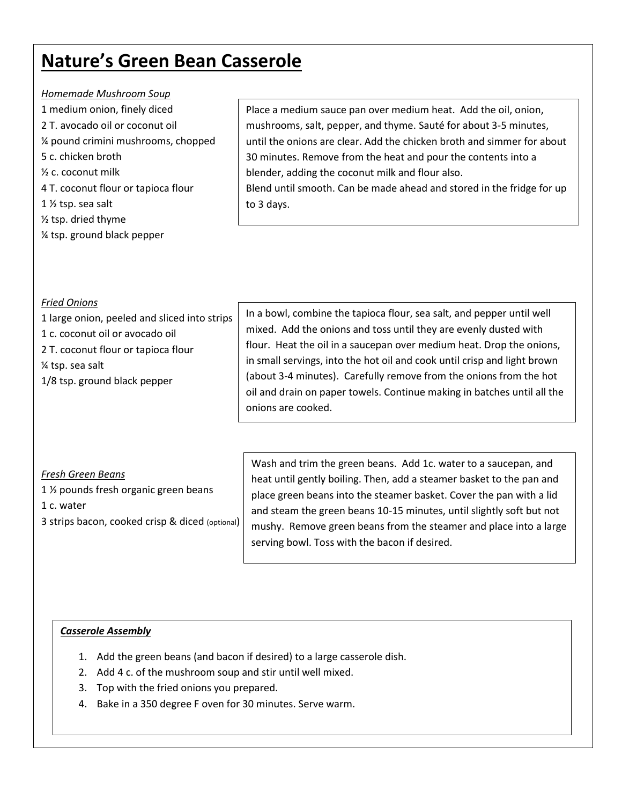### **Nature's Green Bean Casserole**

#### *Homemade Mushroom Soup*

- 1 medium onion, finely diced 2 T. avocado oil or coconut oil ¼ pound crimini mushrooms, chopped 5 c. chicken broth ½ c. coconut milk 4 T. coconut flour or tapioca flour 1 ½ tsp. sea salt ½ tsp. dried thyme
- ¼ tsp. ground black pepper

Place a medium sauce pan over medium heat. Add the oil, onion, mushrooms, salt, pepper, and thyme. Sauté for about 3-5 minutes, until the onions are clear. Add the chicken broth and simmer for about 30 minutes. Remove from the heat and pour the contents into a blender, adding the coconut milk and flour also. Blend until smooth. Can be made ahead and stored in the fridge for up to 3 days.

### *Fried Onions*

- 1 large onion, peeled and sliced into strips
- 1 c. coconut oil or avocado oil
- 2 T. coconut flour or tapioca flour
- ¼ tsp. sea salt
- 1/8 tsp. ground black pepper

In a bowl, combine the tapioca flour, sea salt, and pepper until well mixed. Add the onions and toss until they are evenly dusted with flour. Heat the oil in a saucepan over medium heat. Drop the onions, in small servings, into the hot oil and cook until crisp and light brown (about 3-4 minutes). Carefully remove from the onions from the hot oil and drain on paper towels. Continue making in batches until all the onions are cooked.

### *Fresh Green Beans*

1 ½ pounds fresh organic green beans 1 c. water 3 strips bacon, cooked crisp & diced (optional) Wash and trim the green beans. Add 1c. water to a saucepan, and heat until gently boiling. Then, add a steamer basket to the pan and place green beans into the steamer basket. Cover the pan with a lid and steam the green beans 10-15 minutes, until slightly soft but not mushy. Remove green beans from the steamer and place into a large serving bowl. Toss with the bacon if desired.

### *Casserole Assembly*

- 1. Add the green beans (and bacon if desired) to a large casserole dish.
- 2. Add 4 c. of the mushroom soup and stir until well mixed.
- 3. Top with the fried onions you prepared.
- 4. Bake in a 350 degree F oven for 30 minutes. Serve warm.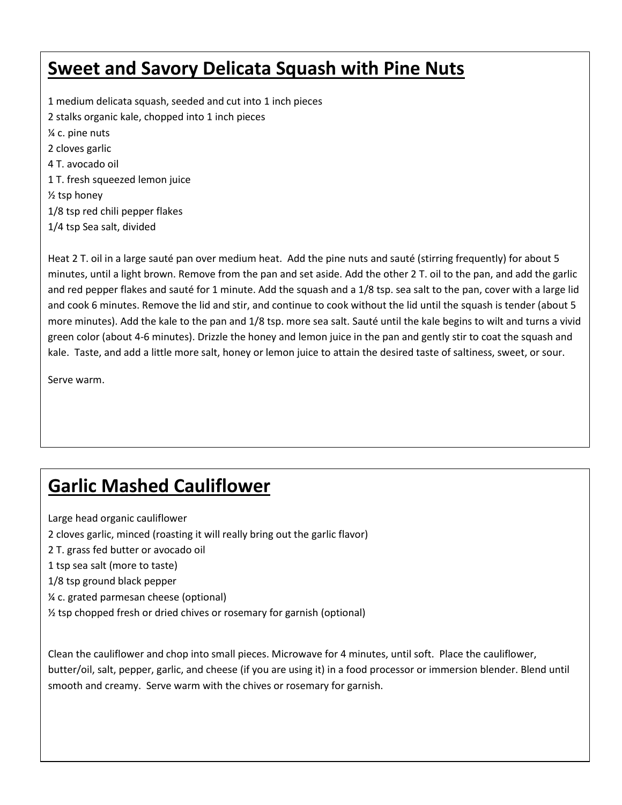## **Sweet and Savory Delicata Squash with Pine Nuts**

1 medium delicata squash, seeded and cut into 1 inch pieces 2 stalks organic kale, chopped into 1 inch pieces ¼ c. pine nuts 2 cloves garlic 4 T. avocado oil 1 T. fresh squeezed lemon juice ½ tsp honey 1/8 tsp red chili pepper flakes 1/4 tsp Sea salt, divided

Heat 2 T. oil in a large sauté pan over medium heat. Add the pine nuts and sauté (stirring frequently) for about 5 minutes, until a light brown. Remove from the pan and set aside. Add the other 2 T. oil to the pan, and add the garlic and red pepper flakes and sauté for 1 minute. Add the squash and a 1/8 tsp. sea salt to the pan, cover with a large lid and cook 6 minutes. Remove the lid and stir, and continue to cook without the lid until the squash is tender (about 5 more minutes). Add the kale to the pan and 1/8 tsp. more sea salt. Sauté until the kale begins to wilt and turns a vivid green color (about 4-6 minutes). Drizzle the honey and lemon juice in the pan and gently stir to coat the squash and kale. Taste, and add a little more salt, honey or lemon juice to attain the desired taste of saltiness, sweet, or sour.

Serve warm.

### **Garlic Mashed Cauliflower**

Large head organic cauliflower

2 cloves garlic, minced (roasting it will really bring out the garlic flavor)

2 T. grass fed butter or avocado oil

1 tsp sea salt (more to taste)

1/8 tsp ground black pepper

¼ c. grated parmesan cheese (optional)

½ tsp chopped fresh or dried chives or rosemary for garnish (optional)

Clean the cauliflower and chop into small pieces. Microwave for 4 minutes, until soft. Place the cauliflower, butter/oil, salt, pepper, garlic, and cheese (if you are using it) in a food processor or immersion blender. Blend until smooth and creamy. Serve warm with the chives or rosemary for garnish.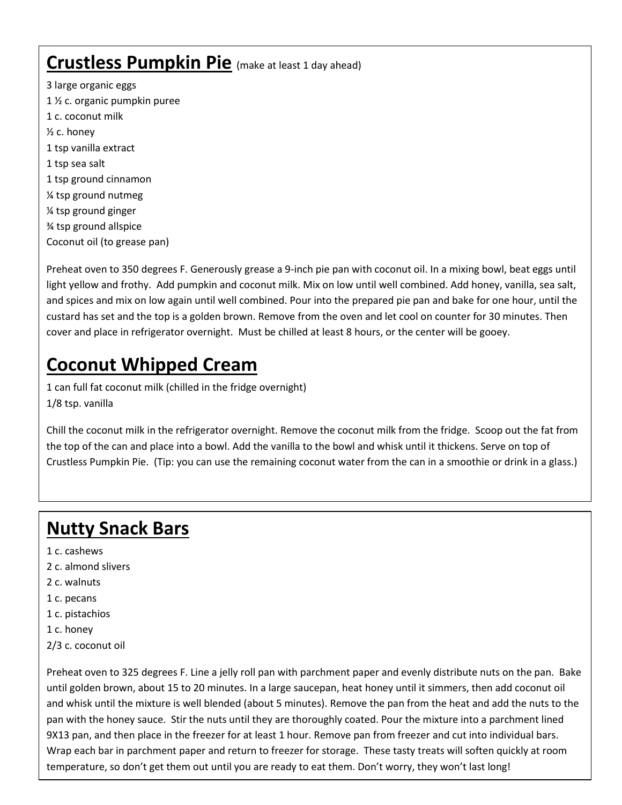### **Crustless Pumpkin Pie** (make at least 1 day ahead)

3 large organic eggs 1 ½ c. organic pumpkin puree 1 c. coconut milk ½ c. honey 1 tsp vanilla extract 1 tsp sea salt 1 tsp ground cinnamon ¼ tsp ground nutmeg ¼ tsp ground ginger ¾ tsp ground allspice Coconut oil (to grease pan)

Preheat oven to 350 degrees F. Generously grease a 9-inch pie pan with coconut oil. In a mixing bowl, beat eggs until light yellow and frothy. Add pumpkin and coconut milk. Mix on low until well combined. Add honey, vanilla, sea salt, and spices and mix on low again until well combined. Pour into the prepared pie pan and bake for one hour, until the custard has set and the top is a golden brown. Remove from the oven and let cool on counter for 30 minutes. Then cover and place in refrigerator overnight. Must be chilled at least 8 hours, or the center will be gooey.

# **Coconut Whipped Cream**

1 can full fat coconut milk (chilled in the fridge overnight) 1/8 tsp. vanilla

Chill the coconut milk in the refrigerator overnight. Remove the coconut milk from the fridge. Scoop out the fat from the top of the can and place into a bowl. Add the vanilla to the bowl and whisk until it thickens. Serve on top of Crustless Pumpkin Pie. (Tip: you can use the remaining coconut water from the can in a smoothie or drink in a glass.)

# **Nutty Snack Bars**

- 1 c. cashews
- 2 c. almond slivers
- 2 c. walnuts
- 1 c. pecans
- 1 c. pistachios
- 1 c. honey
- 2/3 c. coconut oil

Preheat oven to 325 degrees F. Line a jelly roll pan with parchment paper and evenly distribute nuts on the pan. Bake until golden brown, about 15 to 20 minutes. In a large saucepan, heat honey until it simmers, then add coconut oil and whisk until the mixture is well blended (about 5 minutes). Remove the pan from the heat and add the nuts to the pan with the honey sauce. Stir the nuts until they are thoroughly coated. Pour the mixture into a parchment lined 9X13 pan, and then place in the freezer for at least 1 hour. Remove pan from freezer and cut into individual bars. Wrap each bar in parchment paper and return to freezer for storage. These tasty treats will soften quickly at room temperature, so don't get them out until you are ready to eat them. Don't worry, they won't last long!